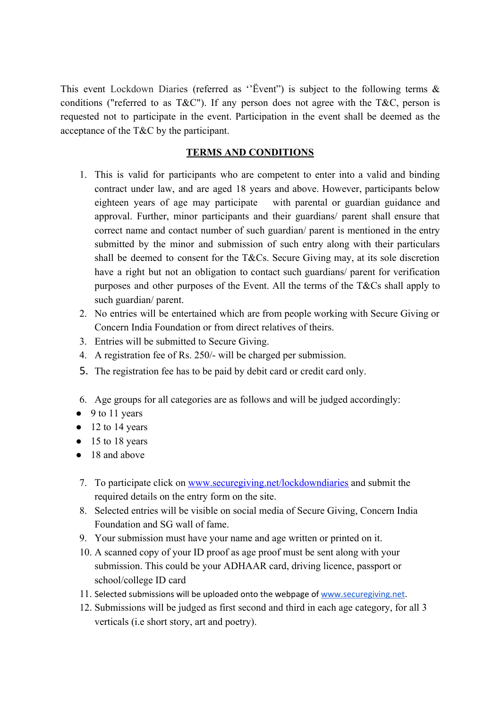This event Lockdown Diaries (referred as "Event") is subject to the following terms  $\&$ conditions ("referred to as  $T\&C$ "). If any person does not agree with the  $T\&C$ , person is requested not to participate in the event. Participation in the event shall be deemed as the acceptance of the T&C by the participant.

# **TERMS AND CONDITIONS**

- 1. This is valid for participants who are competent to enter into a valid and binding contract under law, and are aged 18 years and above. However, participants below eighteen years of age may participate with parental or guardian guidance and approval. Further, minor participants and their guardians/ parent shall ensure that correct name and contact number of such guardian/ parent is mentioned in the entry submitted by the minor and submission of such entry along with their particulars shall be deemed to consent for the T&Cs. Secure Giving may, at its sole discretion have a right but not an obligation to contact such guardians/ parent for verification purposes and other purposes of the Event. All the terms of the T&Cs shall apply to such guardian/ parent.
- 2. No entries will be entertained which are from people working with Secure Giving or Concern India Foundation or from direct relatives of theirs.
- 3. Entries will be submitted to Secure Giving.
- 4. A registration fee of Rs. 250/- will be charged per submission.
- 5. The registration fee has to be paid by debit card or credit card only.
- 6. Age groups for all categories are as follows and will be judged accordingly:
- 9 to 11 years
- $\bullet$  12 to 14 years
- $\bullet$  15 to 18 years
- 18 and above
- 7. To participate click on [www.securegiving.net/lockdowndiaries](http://www.securegiving.net/lockdowndiaries) and submit the required details on the entry form on the site.
- 8. Selected entries will be visible on social media of Secure Giving, Concern India Foundation and SG wall of fame.
- 9. Your submission must have your name and age written or printed on it.
- 10. A scanned copy of your ID proof as age proof must be sent along with your submission. This could be your ADHAAR card, driving licence, passport or school/college ID card
- 11. Selected submissions will be uploaded onto the webpage of [www.securegiving.net.](http://www.securegiving.net/)
- 12. Submissions will be judged as first second and third in each age category, for all 3 verticals (i.e short story, art and poetry).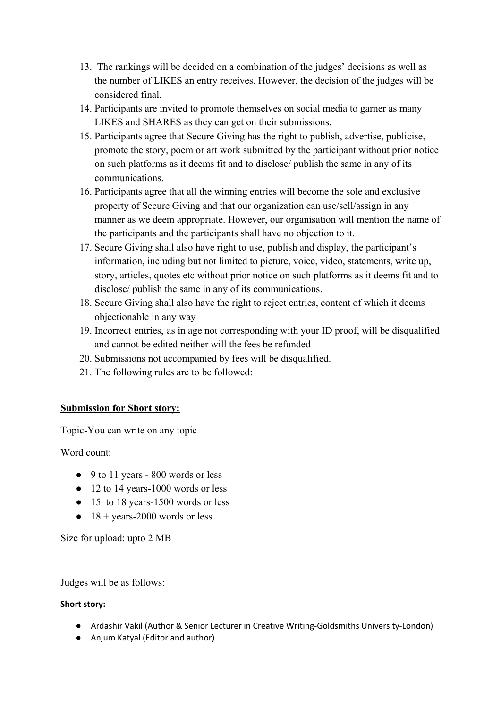- 13. The rankings will be decided on a combination of the judges' decisions as well as the number of LIKES an entry receives. However, the decision of the judges will be considered final.
- 14. Participants are invited to promote themselves on social media to garner as many LIKES and SHARES as they can get on their submissions.
- 15. Participants agree that Secure Giving has the right to publish, advertise, publicise, promote the story, poem or art work submitted by the participant without prior notice on such platforms as it deems fit and to disclose/ publish the same in any of its communications.
- 16. Participants agree that all the winning entries will become the sole and exclusive property of Secure Giving and that our organization can use/sell/assign in any manner as we deem appropriate. However, our organisation will mention the name of the participants and the participants shall have no objection to it.
- 17. Secure Giving shall also have right to use, publish and display, the participant's information, including but not limited to picture, voice, video, statements, write up, story, articles, quotes etc without prior notice on such platforms as it deems fit and to disclose/ publish the same in any of its communications.
- 18. Secure Giving shall also have the right to reject entries, content of which it deems objectionable in any way
- 19. Incorrect entries, as in age not corresponding with your ID proof, will be disqualified and cannot be edited neither will the fees be refunded
- 20. Submissions not accompanied by fees will be disqualified.
- 21. The following rules are to be followed:

## **Submission for Short story:**

Topic-You can write on any topic

Word count:

- 9 to 11 years 800 words or less
- 12 to 14 years-1000 words or less
- 15 to 18 years-1500 words or less
- $\bullet$  18 + years-2000 words or less

Size for upload: upto 2 MB

Judges will be as follows:

## **Short story:**

- Ardashir Vakil (Author & Senior Lecturer in Creative Writing-Goldsmiths University-London)
- Anjum Katyal (Editor and author)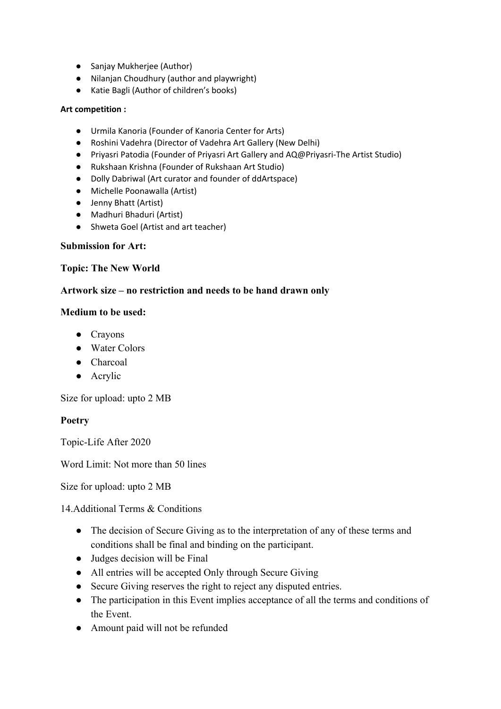- Sanjay Mukherjee (Author)
- Nilanjan Choudhury (author and playwright)
- Katie Bagli (Author of children's books)

#### **Art competition :**

- Urmila Kanoria (Founder of Kanoria Center for Arts)
- Roshini Vadehra (Director of Vadehra Art Gallery (New Delhi)
- Priyasri Patodia (Founder of Priyasri Art Gallery and AQ@Priyasri-The Artist Studio)
- Rukshaan Krishna (Founder of Rukshaan Art Studio)
- Dolly Dabriwal (Art curator and founder of ddArtspace)
- Michelle Poonawalla (Artist)
- Jenny Bhatt (Artist)
- Madhuri Bhaduri (Artist)
- Shweta Goel (Artist and art teacher)

#### **Submission for Art:**

### **Topic: The New World**

### **Artwork size – no restriction and needs to be hand drawn only**

### **Medium to be used:**

- Crayons
- Water Colors
- Charcoal
- Acrylic

Size for upload: upto 2 MB

## **Poetry**

Topic-Life After 2020

Word Limit: Not more than 50 lines

Size for upload: upto 2 MB

14.Additional Terms & Conditions

- The decision of Secure Giving as to the interpretation of any of these terms and conditions shall be final and binding on the participant.
- Judges decision will be Final
- All entries will be accepted Only through Secure Giving
- Secure Giving reserves the right to reject any disputed entries.
- The participation in this Event implies acceptance of all the terms and conditions of the Event.
- Amount paid will not be refunded